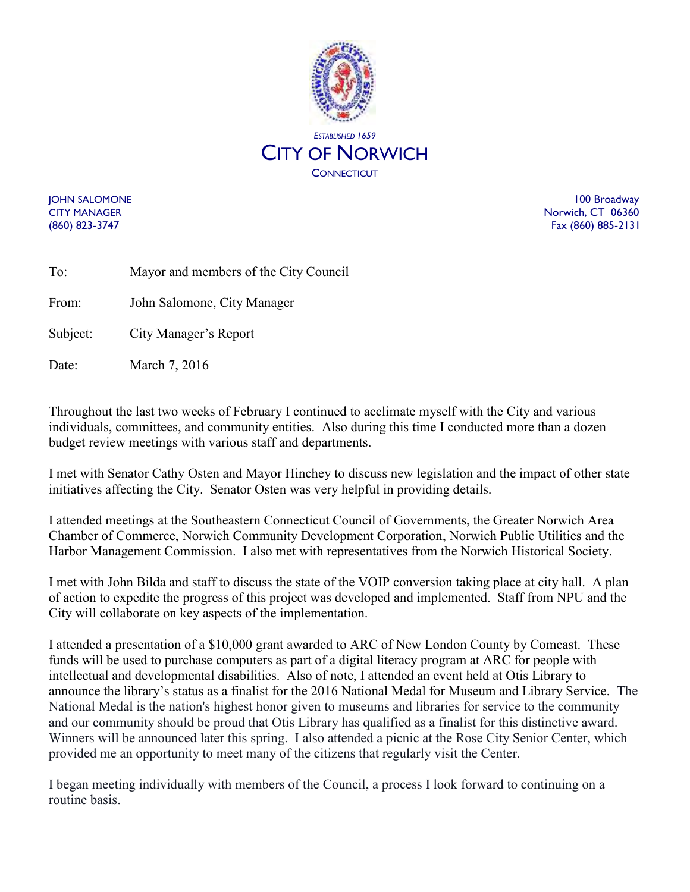

JOHN SALOMONE 100 Broadway CITY MANAGER Norwich, CT 06360 (860) 823-3747 Fax (860) 885-2131

| To:      | Mayor and members of the City Council |
|----------|---------------------------------------|
| From:    | John Salomone, City Manager           |
| Subject: | City Manager's Report                 |

Date: March 7, 2016

Throughout the last two weeks of February I continued to acclimate myself with the City and various individuals, committees, and community entities. Also during this time I conducted more than a dozen budget review meetings with various staff and departments.

I met with Senator Cathy Osten and Mayor Hinchey to discuss new legislation and the impact of other state initiatives affecting the City. Senator Osten was very helpful in providing details.

I attended meetings at the Southeastern Connecticut Council of Governments, the Greater Norwich Area Chamber of Commerce, Norwich Community Development Corporation, Norwich Public Utilities and the Harbor Management Commission. I also met with representatives from the Norwich Historical Society.

I met with John Bilda and staff to discuss the state of the VOIP conversion taking place at city hall. A plan of action to expedite the progress of this project was developed and implemented. Staff from NPU and the City will collaborate on key aspects of the implementation.

I attended a presentation of a \$10,000 grant awarded to ARC of New London County by Comcast. These funds will be used to purchase computers as part of a digital literacy program at ARC for people with intellectual and developmental disabilities. Also of note, I attended an event held at Otis Library to announce the library's status as a finalist for the 2016 National Medal for Museum and Library Service. The National Medal is the nation's highest honor given to museums and libraries for service to the community and our community should be proud that Otis Library has qualified as a finalist for this distinctive award. Winners will be announced later this spring. I also attended a picnic at the Rose City Senior Center, which provided me an opportunity to meet many of the citizens that regularly visit the Center.

I began meeting individually with members of the Council, a process I look forward to continuing on a routine basis.